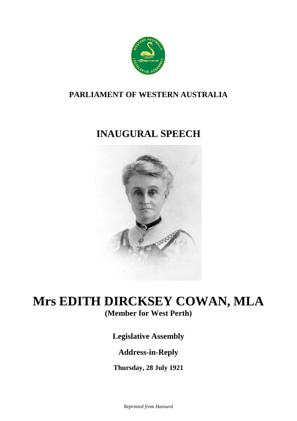

### **PARLIAMENT OF WESTERN AUSTRALIA**

# **INAUGURAL SPEECH**



## **Mrs EDITH DIRCKSEY COWAN, MLA (Member for West Perth)**

**Legislative Assembly**

### **Address-in-Reply**

**Thursday, 28 July 1921**

*Reprinted from Hansard*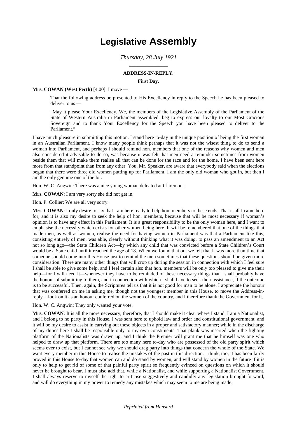## **Legislative Assembly**

### *Thursday, 28 July 1921* \_\_\_\_\_\_\_\_\_\_\_\_\_

#### **ADDRESS-IN-REPLY.**

#### **First Day.**

#### **Mrs. COWAN (West Perth)** [4.00]: I move —

That the following address be presented to His Excellency in reply to the Speech he has been pleased to deliver to us —

"May it please Your Excellency. We, the members of the Legislative Assembly of the Parliament of the State of Western Australia in Parliament assembled, beg to express our loyalty to our Most Gracious Sovereign and to thank Your Excellency for the Speech you have been pleased to deliver to the Parliament."

I have much pleasure in submitting this motion. I stand here to-day in the unique position of being the first woman in an Australian Parliament. I know many people think perhaps that it was not the wisest thing to do to send a woman into Parliament, and perhaps I should remind hon. members that one of the reasons why women and men also considered it advisable to do so, was because it was felt that men need a reminder sometimes from women beside them that will make them realise all that can be done for the race and for the home. I have been sent here more from that standpoint than from any other. You, Mr. Speaker, are aware that everybody said when the elections began that there were three old women putting up for Parliament. I am the only old woman who got in, but then I am the only genuine one of the lot.

Hon. W. C. Angwin: There was a nice young woman defeated at Claremont.

**Mrs. COWAN**: I am very sorry she did not get in.

Hon. P. Collier: We are all very sorry.

**Mrs. COWAN**: I only desire to say that I am here ready to help hon. members to these ends. That is all I came here for, and it is also my desire to seek the help of hon. members, because that will be most necessary if woman's opinion is to have any effect in this Parliament. It is a great responsibility to be the only woman here, and I want to emphasise the necessity which exists for other women being here. It will be remembered that one of the things that made men, as well as women, realise the need for having women in Parliament was that a Parliament like this, consisting entirely of men, was able, clearly without thinking what it was doing, to pass an amendment to an Act not so long ago—the State Children Act—by which any child that was convicted before a State Children's Court would be a State child until it reached the age of 18. When we found that out we felt that it was more than time that someone should come into this House just to remind the men sometimes that these questions should be given more consideration. There are many other things that will crop up during the session in connection with which I feel sure I shall be able to give some help, and I feel certain also that hon. members will be only too pleased to give me their help—for I will need it—whenever they have to be reminded of these necessary things that I shall probably have the honour of submitting to them, and in connection with which I shall have to seek their assistance, if the outcome is to be successful. Then, again, the Scriptures tell us that it is not good for man to be alone. I appreciate the honour that was conferred on me in asking me, though not the youngest member in this House, to move the Address-inreply. I look on it as an honour conferred on the women of the country, and I therefore thank the Government for it.

Hon. W. C. Angwin: They only wanted your vote.

**Mrs. COWAN**: It is all the more necessary, therefore, that I should make it clear where I stand. I am a Nationalist, and I belong to no party in this House. I was sent here to uphold law and order and constitutional government, and it will be my desire to assist in carrying out these objects in a proper and satisfactory manner; while in the discharge of my duties here I shall be responsible only to my own constituents. That plank was inserted when the fighting platform of the Nationalists was drawn up, and I think the Premier will grant me that he himself was one who helped to draw up that platform. There are too many here to-day who are possessed of the old party spirit which seems ever to exist, but I cannot see why we should drag party into things that concern the whole of the State. We want every member in this House to realise the mistakes of the past in this direction. I think, too, it has been fairly proved in this House to-day that women can and do stand by women, and will stand by women in the future if it is only to help to get rid of some of that painful party spirit so frequently evinced on questions on which it should never be brought to bear. I must also add that, while a Nationalist, and while supporting a Nationalist Government, I shall always reserve to myself the right to criticise suggestively and candidly any legislation brought forward, and will do everything in my power to remedy any mistakes which may seem to me are being made.

#### *Reprinted from Hansard*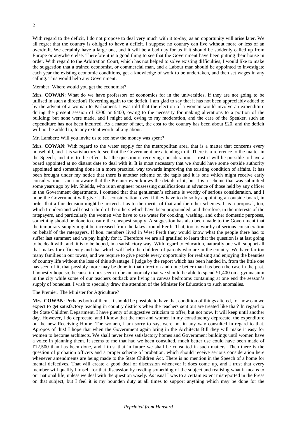$\overline{2}$ 

With regard to the deficit, I do not propose to deal very much with it to-day, as an opportunity will arise later. We all regret that the country is obliged to have a deficit. I suppose no country can live without more or less of an overdraft. We certainly have a large one, and it will be a bad day for us if it should be suddenly called up from Europe or anywhere else. Therefore it is a good thing to see that the Government have been putting their house in order. With regard to the Arbitration Court, which has not helped to solve existing difficulties, I would like to make the suggestion that a trained economist, or commercial man, and a Labour man should be appointed to investigate each year the existing economic conditions, get a knowledge of work to be undertaken, and then set wages in any calling. This would help any Government.

#### Member: Where would you get the economist?

**Mrs. COWAN**: What do we have professors of economics for in the universities, if they are not going to be utilised in such a direction? Reverting again to the deficit, I am glad to say that it has not been appreciably added to by the advent of a woman to Parliament. I was told that the election of a woman would involve an expenditure during the present session of £300 or £400, owing to the necessity for making alterations to a portion of the building; but none were made, and I might add, owing to my moderation, and the care of the Speaker, such an expenditure has not been incurred. As a matter of fact, the cost to the country has been about  $\text{\pounds}20$ , and the deficit will not be added to, to any extent worth talking about.

#### Mr. Lambert: Will you invite us to see how the money was spent?

**Mrs. COWAN**: With regard to the water supply for the metropolitan area, that is a matter that concerns every household, and it is satisfactory to see that the Government are attending to it. There is a reference to the matter in the Speech, and it is to the effect that the question is receiving consideration. I trust it will be possible to have a board appointed at no distant date to deal with it. It is most necessary that we should have some outside authority appointed and something done in a more practical way towards improving the existing condition of affairs. It has been brought under my notice that there is another scheme on the tapis and it is one which might receive early consideration. I am not aware that the Premier even knows the details of it, but it is a scheme that was submitted some years ago by Mr. Shields, who is an engineer possessing qualifications in advance of those held by any officer in the Government departments. I contend that that gentleman's scheme is worthy of serious consideration, and I hope the Government will give it that consideration, even if they have to do so by appointing an outside board, in order that a fair decision might be arrived at as to the merits of that and the other schemes. It is a proposal, too, which I understand will cost a third of the others which have been propounded, and therefore, in the interests of the ratepayers, and particularly the women who have to use water for cooking, washing, and other domestic purposes, something should be done to ensure the cheapest supply. A suggestion has also been made to the Government that the temporary supply might be increased from the lakes around Perth. That, too, is worthy of serious consideration on behalf of the ratepayers. If hon. members lived in West Perth they would know what the people there had to suffer last summer; and we pay highly for it. Therefore we are all gratified to learn that the question is at last going to be dealt with, and, it is to be hoped, in a satisfactory way. With regard to education, naturally one will support all that makes for efficiency and that which will help the children of parents who are in the country. We have far too many families in our towns, and we require to give people every opportunity for realising and enjoying the beauties of country life without the loss of this advantage. I judge by the report which has been handed in, from the little one has seen of it, that possibly more may be done in that direction and done better than has been the case in the past. I honestly hope so, because it does seem to be an anomaly that we should be able to spend £1,400 on a gymnasium in the city while some of our teachers outback are living in canvas bedrooms containing at one end the season's supply of bonedust. I wish to specially draw the attention of the Minister for Education to such anomalies.

#### The Premier. The Minister for Agriculture?

**Mrs. COWAN**: Perhaps both of them. It should be possible to have that condition of things altered, for how can we expect to get satisfactory teaching in country districts when the teachers sent out are treated like that? In regard to the State Children Department, I have plenty of suggestive criticism to offer, but not now. It will keep until another day. However, I do deprecate, and I know that the men and women in my constituency deprecate, the expenditure on the new Receiving Home. The women, I am sorry to say, were not in any way consulted in regard to that. Apropos of this! I hope that when the Government again bring in the Architects Bill they will make it easy for women to become architects. We shall never have satisfactory homes and Government buildings until women have a voice in planning them. It seems to me that had we been consulted, much better use could have been made of £12,500 than has been done, and I trust that in future we shall be consulted in such matters. Then there is the question of probation officers and a proper scheme of probation, which should receive serious consideration here whenever amendments are being made to the State Children Act. There is no mention in the Speech of a home for mental defectives. That will create a good deal of discussion whenever it does come up, and I trust that every member will qualify himself for that discussion by reading something of the subject and realising what it means to our national life, unless we deal with the question wisely. As usual I was to a certain extent misreported in the Press on that subject, but I feel it is my bounden duty at all times to support anything which may be done for the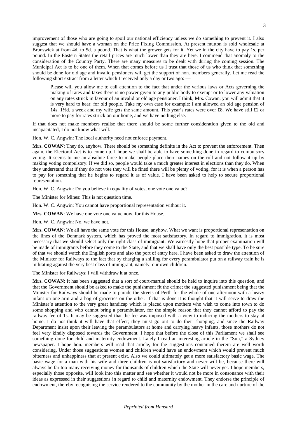improvement of those who are going to spoil our national efficiency unless we do something to prevent it. I also suggest that we should have a woman on the Price Fixing Commission. At present mutton is sold wholesale at Brunswick at from 4d. to 5d. a pound. That is what the grower gets for it. Yet we in the city have to pay 1s. per pound. In the Eastern States the retail prices are much lower than they are here. I commend that anomaly to the consideration of the Country Party. There are many measures to be dealt with during the coming session. The Municipal Act is to be one of them. When that comes before us I trust that those of us who think that something should be done for old age and invalid pensioners will get the support of hon. members generally. Let me read the following short extract from a letter which I received only a day or two ago: —

Please will you allow me to call attention to the fact that under the various laws or Acts governing the making of rates and taxes there is no power given to any public body to exempt or to lower any valuation on any rates struck in favour of an invalid or old age pensioner. I think, Mrs. Cowan, you will admit that it is very hard to hear, for old people. Take my own case for example: I am allowed an old age pension of 14s. 1½d. a week and my wife gets the same amount. This year's rates were over £8. We have still £2 or more to pay for rates struck on our home, and we have nothing else.

If that does not make members realise that there should be some further consideration given to the old and incapacitated, I do not know what will.

Hon. W. C. Angwin: The local authority need not enforce payment.

**Mrs. COWAN**: They do, anyhow. There should be something definite in the Act to prevent the enforcement. Then again, the Electoral Act is to come up. I hope we shall be able to have something done in regard to compulsory voting. It seems to me an absolute farce to make people place their names on the roll and not follow it up by making voting compulsory. If we did so, people would take a much greater interest in elections than they do. When they understand that if they do not vote they will be fined there will be plenty of voting, for it is when a person has to pay for something that he begins to regard it as of value. I have been asked to help to secure proportional representation.

Hon. W. C. Angwin: Do you believe in equality of votes, one vote one value?

The Minister for Mines: This is not question time.

Hon. W. C. Angwin: You cannot have proportional representation without it.

**Mrs. COWAN**: We have one vote one value now, for this House.

Hon. W. C. Angwin: No, we have not.

**Mrs. COWAN**: We all have the same vote for this House, anyhow. What we want is proportional representation on the lines of the Denmark system, which has proved the most satisfactory. In regard to immigration, it is most necessary that we should select only the right class of immigrant. We earnestly hope that proper examination will be made of immigrants before they come to the State, and that we shall have only the best possible type. To be sure of that we should watch the English ports and also the port of entry here. I have been asked to draw the attention of the Minister for Railways to the fact that by charging a shilling for every perambulator put on a railway train he is militating against the very best class of immigrant, namely, our own children.

The Minister for Railways: I will withdraw it at once.

**Mrs. COWAN**: It has been suggested that a sort of court-martial should be held to inquire into this question, and that the Government should be asked to make the punishment fit the crime; the suggested punishment being that the Minister for Railways should be made to parade the streets of Perth for the whole of one afternoon with a heavy infant on one arm and a bag of groceries on the other. If that is done it is thought that it will serve to draw the Minister's attention to the very great handicap which is placed upon mothers who wish to come into town to do some shopping and who cannot bring a perambulator, for the simple reason that they cannot afford to pay the railway fee of 1s. It may be suggested that the fee was imposed with a view to inducing the mothers to stay at home. I do not think it will have that effect; they must go out to do their shopping, and since the Railway Department insist upon their leaving the perambulators at home and carrying heavy infants, those mothers do not feel very kindly disposed towards the Government. I hope that before the close of this Parliament we shall see something done for child and maternity endowment. Lately I read an interesting article in the "Sun," a Sydney newspaper. I hope hon. members will read that article, for the suggestions contained therein are well worth considering. Under those suggestions women and children would have an endowment which would prevent much bitterness and unhappiness that at present exist. Also we could ultimately get a more satisfactory basic wage. The basic wage for a man with his wife and three children is not satisfactory and never will be, because there will always be far too many receiving money for thousands of children which the State will never get. I hope members, especially those opposite, will look into this matter and see whether it would not be more in consonance with their ideas as expressed in their suggestions in regard to child and maternity endowment. They endorse the principle of endowment, thereby recognising the service rendered to the community by the mother in the care and nurture of the